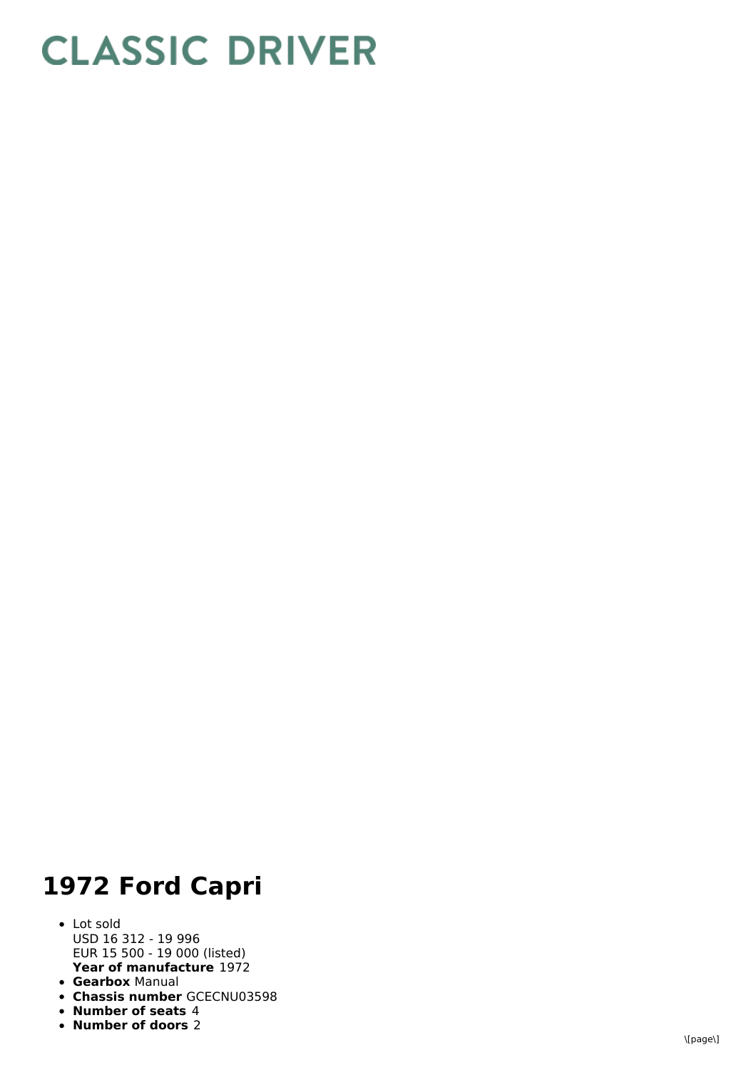## **CLASSIC DRIVER**

## 1972 Ford Capri

- **Year of manufacture** 1972 L o t s old U S D 1 6 3 1 2 - 1 9 9 9 6 EUR 15 500 - 19 000 (listed)
- **Gearbox** Manual
- **Chassis number** GCECNU03598
- **Number of seats 4**
- **N u m b e r o f d o o r s** 2